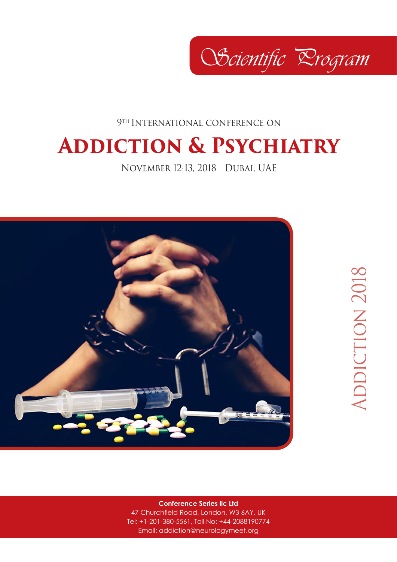Scientific Drogram

9<sup>TH</sup> INTERNATIONAL CONFERENCE ON

## **Addiction & Psychiatry**

November 12-13, 2018 Dubai, UAE



**Conference Series llc Ltd**

47 Churchfield Road, London, W3 6AY, UK Tel: +1-201-380-5561, Toll No: +44-2088190774 Email: addiction@neurologymeet.org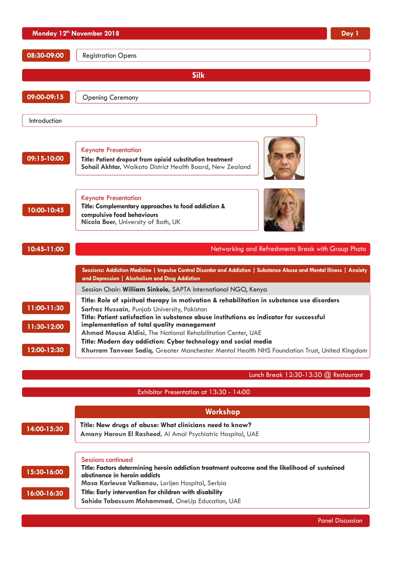|                                           | Monday 12 <sup>th</sup> November 2018<br>Day 1                                                                                                                                                                                                                                                                                                                                                                                                                                                                       |
|-------------------------------------------|----------------------------------------------------------------------------------------------------------------------------------------------------------------------------------------------------------------------------------------------------------------------------------------------------------------------------------------------------------------------------------------------------------------------------------------------------------------------------------------------------------------------|
| 08:30-09:00                               | <b>Registration Opens</b>                                                                                                                                                                                                                                                                                                                                                                                                                                                                                            |
|                                           | <b>Silk</b>                                                                                                                                                                                                                                                                                                                                                                                                                                                                                                          |
| 09:00-09:15                               | <b>Opening Ceremony</b>                                                                                                                                                                                                                                                                                                                                                                                                                                                                                              |
| Introduction                              |                                                                                                                                                                                                                                                                                                                                                                                                                                                                                                                      |
| 09:15-10:00                               | <b>Keynote Presentation</b><br>Title: Patient dropout from opioid substitution treatment<br>Sohail Akhtar, Waikato District Health Board, New Zealand                                                                                                                                                                                                                                                                                                                                                                |
| 10:00-10:45                               | <b>Keynote Presentation</b><br>Title: Complementary approaches to food addiction &<br>compulsive food behaviours<br>Nicola Beer, University of Bath, UK                                                                                                                                                                                                                                                                                                                                                              |
| 10:45-11:00                               | Networking and Refreshments Break with Group Photo                                                                                                                                                                                                                                                                                                                                                                                                                                                                   |
|                                           | Sessions: Addiction Medicine   Impulse Control Disorder and Addiction   Substance Abuse and Mental Illness   Anxiety<br>and Depression   Alcoholism and Drug Addiction                                                                                                                                                                                                                                                                                                                                               |
|                                           | Session Chair: William Sinkele, SAPTA International NGO, Kenya                                                                                                                                                                                                                                                                                                                                                                                                                                                       |
| 11:00-11:30<br>11:30-12:00<br>12:00-12:30 | Title: Role of spiritual therapy in motivation & rehabilitation in substance use disorders<br>Sarfraz Hussain, Punjab University, Pakistan<br>Title: Patient satisfaction in substance abuse institutions as indicator for successful<br>implementation of total quality management<br>Ahmad Mousa Aldisi, The National Rehabilitation Center, UAE<br>Title: Modern day addiction: Cyber technology and social media<br>Khurram Tanveer Sadiq, Greater Manchester Mental Health NHS Foundation Trust, United Kingdom |
|                                           |                                                                                                                                                                                                                                                                                                                                                                                                                                                                                                                      |
|                                           | Lunch Break $12:30-13:30$ $@$ Restaurant                                                                                                                                                                                                                                                                                                                                                                                                                                                                             |
|                                           | Exhibitor Presentation at 13:30 - 14:00                                                                                                                                                                                                                                                                                                                                                                                                                                                                              |
|                                           | Workshop                                                                                                                                                                                                                                                                                                                                                                                                                                                                                                             |
|                                           |                                                                                                                                                                                                                                                                                                                                                                                                                                                                                                                      |
| 14:00-15:30                               | Title: New drugs of abuse: What clinicians need to know?<br>Amany Haroun El Rasheed, Al Amal Psychiatric Hospital, UAE                                                                                                                                                                                                                                                                                                                                                                                               |
| 15:30-16:00<br>16:00-16:30                | Sessions continued<br>Title: Factors determining heroin addiction treatment outcome and the likelihood of sustained<br>abstinence in heroin addicts<br>Masa Karleusa Valkanou, Lorijen Hospital, Serbia<br>Title: Early intervention for children with disability                                                                                                                                                                                                                                                    |
|                                           | Sahida Tabassum Mohammad, OneUp Education, UAE                                                                                                                                                                                                                                                                                                                                                                                                                                                                       |